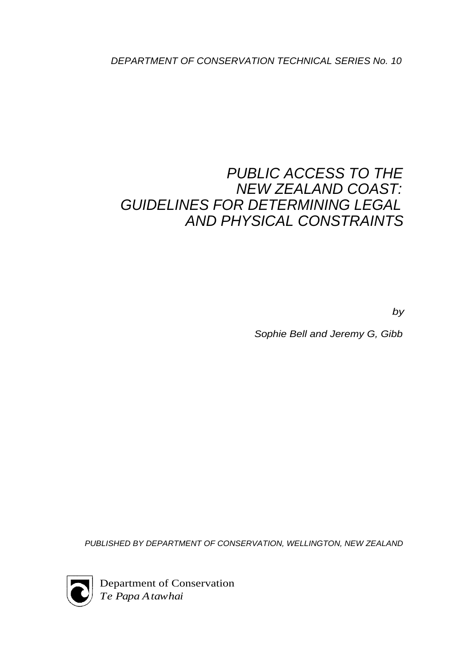DEPARTMENT OF CONSERVATION TECHNICAL SERIES No. 10

# PUBLIC ACCESS TO THE NEW ZEALAND COAST: GUIDELINES FOR DETERMINING LEGAL AND PHYSICAL CONSTRAINTS

by

Sophie Bell and Jeremy G, Gibb

PUBLISHED BY DEPARTMENT OF CONSERVATION, WELLINGTON, NEW ZEALAND



Department of Conservation *Te Papa Atawhai*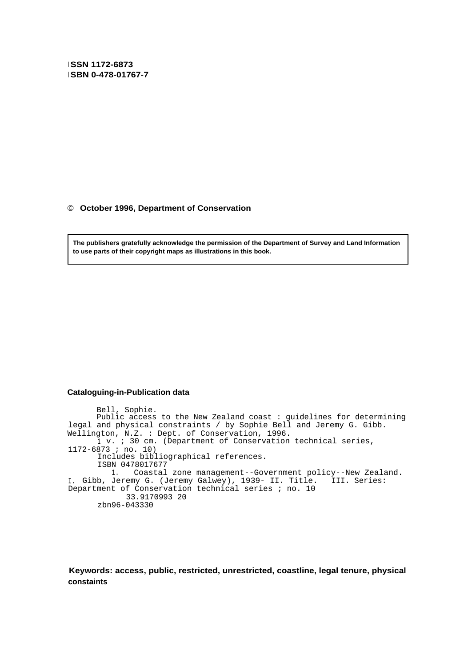**<sup>I</sup> SSN 1172-6873 <sup>I</sup> SBN 0-478-01767-7**

© **October 1996, Department of Conservation**

**The publishers gratefully acknowledge the permission of the Department of Survey and Land Information to use parts of their copyright maps as illustrations in this book.**

#### **Cataloguing-in-Publication data**

Bell, Sophie. Public access to the New Zealand coast : guidelines for determining legal and physical constraints / by Sophie Bell and Jeremy G. Gibb. Wellington, N.Z. : Dept. of Conservation, 1996. <sup>1</sup> v. ; 30 cm. (Department of Conservation technical series, 1172-6873 ; no. 10) Includes bibliographical references. ISBN 0478017677 1. Coastal zone management--Government policy--New Zealand. I. Gibb, Jeremy G. (Jeremy Galwey), 1939- II. Title. III. Series: Department of Conservation technical series ; no. 10 33.9170993 20 zbn96-043330

**Keywords: access, public, restricted, unrestricted, coastline, legal tenure, physical constaints**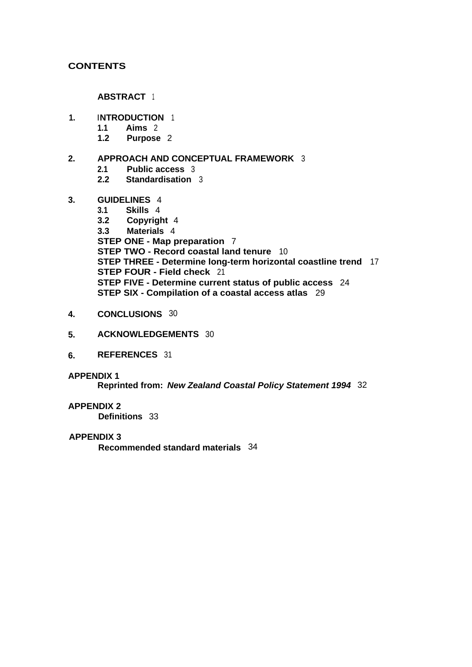## **CONTENTS**

**ABSTRACT** <sup>1</sup>

- **1. INTRODUCTION** <sup>1</sup>
	- **1.1 Aims** 2
	- **1.2 Purpose** 2
- **2. APPROACH AND CONCEPTUAL FRAMEWORK** 3
	- **2.1 Public access** 3
	- **2.2 Standardisation** 3
- **3. GUIDELINES** 4
	- **3.1 Skills** 4
	- **3.2 Copyright** 4 **3.3 Materials** 4 **STEP ONE - Map preparation** 7 **STEP TWO - Record coastal land tenure** 10 **STEP THREE - Determine long-term horizontal coastline trend** 17 **STEP FOUR - Field check** 21 **STEP FIVE - Determine current status of public access** 24 **STEP SIX - Compilation of a coastal access atlas** 29
- **4. CONCLUSIONS** 30
- **5. ACKNOWLEDGEMENTS** 30
- **6. REFERENCES** 31

#### **APPENDIX 1**

**Reprinted from: New Zealand Coastal Policy Statement 1994** 32

#### **APPENDIX 2**

**Definitions** 33

#### **APPENDIX 3**

**Recommended standard materials** 34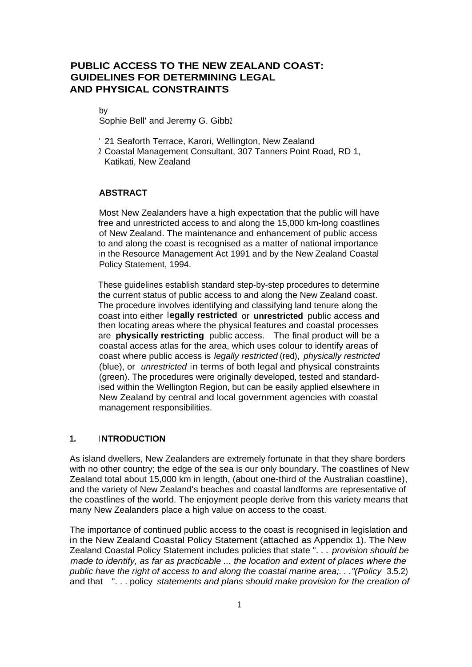# **PUBLIC ACCESS TO THE NEW ZEALAND COAST: GUIDELINES FOR DETERMINING LEGAL AND PHYSICAL CONSTRAINTS**

by

Sophie Bell' and Jeremy G. Gibb2

- ' 21 Seaforth Terrace, Karori, Wellington, New Zealand
- <sup>2</sup> Coastal Management Consultant, 307 Tanners Point Road, RD 1, Katikati, New Zealand

#### **ABSTRACT**

Most New Zealanders have a high expectation that the public will have free and unrestricted access to and along the 15,000 km-long coastlines of New Zealand. The maintenance and enhancement of public access to and along the coast is recognised as a matter of national importance in the Resource Management Act 1991 and by the New Zealand Coastal Policy Statement, 1994.

These guidelines establish standard step-by-step procedures to determine the current status of public access to and along the New Zealand coast. The procedure involves identifying and classifying land tenure along the coast into either **legally restricted** or **unrestricted** public access and then locating areas where the physical features and coastal processes are **physically restricting** public access. The final product will be a coastal access atlas for the area, which uses colour to identify areas of coast where public access is legally restricted (red), physically restricted (blue), or unrestricted in terms of both legal and physical constraints (green). The procedures were originally developed, tested and standard<sup>i</sup> sed within the Wellington Region, but can be easily applied elsewhere in New Zealand by central and local government agencies with coastal management responsibilities.

#### **1. <sup>I</sup> NTRODUCTION**

As island dwellers, New Zealanders are extremely fortunate in that they share borders with no other country; the edge of the sea is our only boundary. The coastlines of New Zealand total about 15,000 km in length, (about one-third of the Australian coastline), and the variety of New Zealand's beaches and coastal landforms are representative of the coastlines of the world. The enjoyment people derive from this variety means that many New Zealanders place a high value on access to the coast.

The importance of continued public access to the coast is recognised in legislation and in the New Zealand Coastal Policy Statement (attached as Appendix 1). The New Zealand Coastal Policy Statement includes policies that state ". . . provision should be made to identify, as far as practicable ... the location and extent of places where the public have the right of access to and along the coastal marine area;. . ."(Policy 3.5.2) and that ". . . policy statements and plans should make provision for the creation of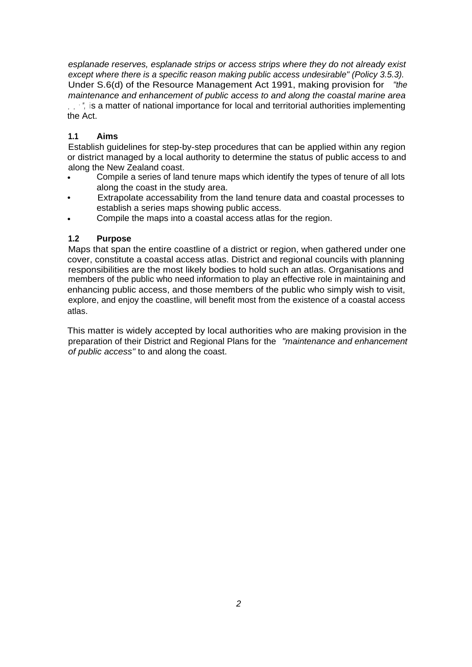esplanade reserves, esplanade strips or access strips where they do not already exist except where there is a specific reason making public access undesirable" (Policy 3.5.3). Under S.6(d) of the Resource Management Act 1991, making provision for "the maintenance and enhancement of public access to and along the coastal marine area ...", is a matter of national importance for local and territorial authorities implementing the Act.

# **1.1 Aims**

Establish guidelines for step-by-step procedures that can be applied within any region or district managed by a local authority to determine the status of public access to and along the New Zealand coast.

- Compile a series of land tenure maps which identify the types of tenure of all lots along the coast in the study area.
- Extrapolate accessability from the land tenure data and coastal processes to establish a series maps showing public access.
- Compile the maps into a coastal access atlas for the region.

## **1.2 Purpose**

Maps that span the entire coastline of a district or region, when gathered under one cover, constitute a coastal access atlas. District and regional councils with planning responsibilities are the most likely bodies to hold such an atlas. Organisations and members of the public who need information to play an effective role in maintaining and enhancing public access, and those members of the public who simply wish to visit, explore, and enjoy the coastline, will benefit most from the existence of a coastal access atlas.

This matter is widely accepted by local authorities who are making provision in the preparation of their District and Regional Plans for the "maintenance and enhancement of public access" to and along the coast.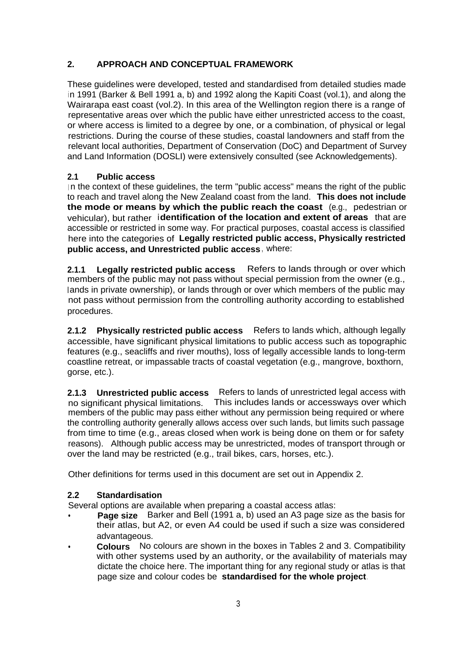# **2. APPROACH AND CONCEPTUAL FRAMEWORK**

These guidelines were developed, tested and standardised from detailed studies made in 1991 (Barker & Bell 1991 a, b) and 1992 along the Kapiti Coast (vol.1), and along the Wairarapa east coast (vol.2). In this area of the Wellington region there is a range of representative areas over which the public have either unrestricted access to the coast, or where access is limited to a degree by one, or a combination, of physical or legal restrictions. During the course of these studies, coastal landowners and staff from the relevant local authorities, Department of Conservation (DoC) and Department of Survey and Land Information (DOSLI) were extensively consulted (see Acknowledgements).

## **2.1 Public access**

In the context of these quidelines, the term "public access" means the right of the public to reach and travel along the New Zealand coast from the land. **This does not include the mode or means by which the public reach the coast** (e.g., pedestrian or vehicular), but rather **identification of the location and extent of areas** that are accessible or restricted in some way. For practical purposes, coastal access is classified here into the categories of **Legally restricted public access, Physically restricted public access, and Unrestricted public access**, where:

**2.1.1 Legally restricted public access** Refers to lands through or over which members of the public may not pass without special permission from the owner (e.g., lands in private ownership), or lands through or over which members of the public may not pass without permission from the controlling authority according to established procedures.

**2.1.2 Physically restricted public access** Refers to lands which, although legally accessible, have significant physical limitations to public access such as topographic features (e.g., seacliffs and river mouths), loss of legally accessible lands to long-term coastline retreat, or impassable tracts of coastal vegetation (e.g., mangrove, boxthorn, gorse, etc.).

**2.1.3 Unrestricted public access** Refers to lands of unrestricted legal access with no significant physical limitations. This includes lands or accessways over which members of the public may pass either without any permission being required or where the controlling authority generally allows access over such lands, but limits such passage from time to time (e.g., areas closed when work is being done on them or for safety reasons). Although public access may be unrestricted, modes of transport through or over the land may be restricted (e.g., trail bikes, cars, horses, etc.).

Other definitions for terms used in this document are set out in Appendix 2.

## **2.2 Standardisation**

Several options are available when preparing a coastal access atlas:

- **Page size** Barker and Bell (1991 a, b) used an A3 page size as the basis for their atlas, but A2, or even A4 could be used if such a size was considered advantageous.
- **Colours** No colours are shown in the boxes in Tables 2 and 3. Compatibility with other systems used by an authority, or the availability of materials may dictate the choice here. The important thing for any regional study or atlas is that page size and colour codes be **standardised for the whole project**.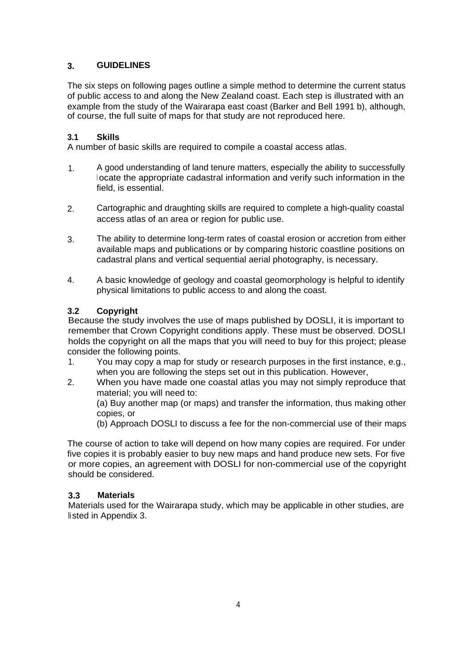# **3. GUIDELINES**

The six steps on following pages outline a simple method to determine the current status of public access to and along the New Zealand coast. Each step is illustrated with an example from the study of the Wairarapa east coast (Barker and Bell 1991 b), although, of course, the full suite of maps for that study are not reproduced here.

## **3.1 Skills**

A number of basic skills are required to compile a coastal access atlas.

- 1. A good understanding of land tenure matters, especially the ability to successfully <sup>l</sup> ocate the appropriate cadastral information and verify such information in the field, is essential.
- 2. Cartographic and draughting skills are required to complete a high-quality coastal access atlas of an area or region for public use.
- 3. The ability to determine long-term rates of coastal erosion or accretion from either available maps and publications or by comparing historic coastline positions on cadastral plans and vertical sequential aerial photography, is necessary.
- 4. A basic knowledge of geology and coastal geomorphology is helpful to identify physical limitations to public access to and along the coast.

# **3.2 Copyright**

Because the study involves the use of maps published by DOSLI, it is important to remember that Crown Copyright conditions apply. These must be observed. DOSLI holds the copyright on all the maps that you will need to buy for this project; please consider the following points.

- 1. You may copy a map for study or research purposes in the first instance, e.g., when you are following the steps set out in this publication. However,
- 2. When you have made one coastal atlas you may not simply reproduce that material; you will need to:

(a) Buy another map (or maps) and transfer the information, thus making other copies, or

(b) Approach DOSLI to discuss a fee for the non-commercial use of their maps

The course of action to take will depend on how many copies are required. For under five copies it is probably easier to buy new maps and hand produce new sets. For five or more copies, an agreement with DOSLI for non-commercial use of the copyright should be considered.

## **3.3 Materials**

Materials used for the Wairarapa study, which may be applicable in other studies, are listed in Appendix 3.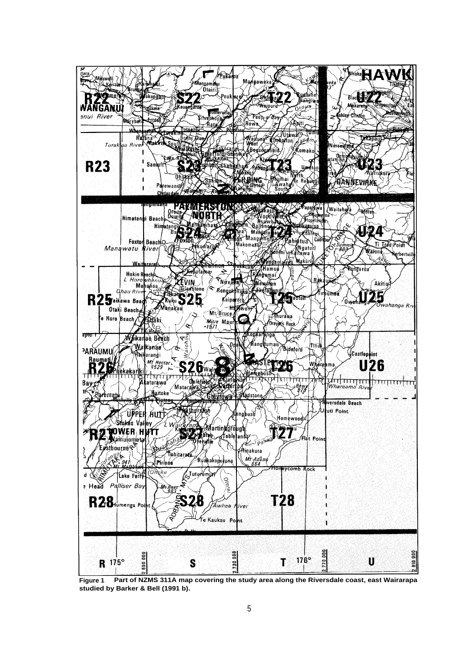

**Figure 1 Part of NZMS 311A map covering the study area along the Riversdale coast, east Wairarapa studied by Barker & Bell (1991 b).**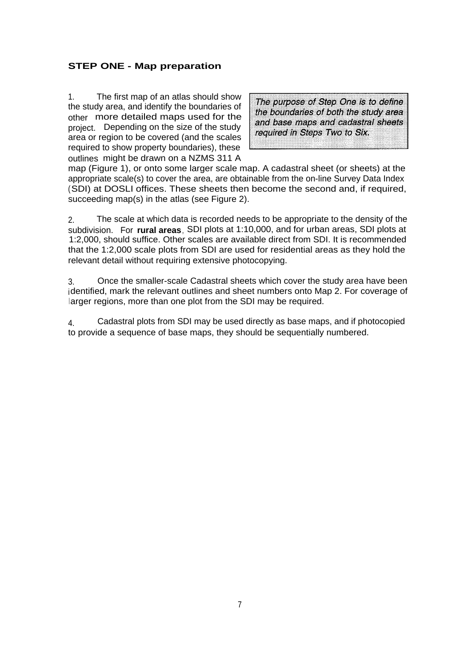# **STEP ONE - Map preparation**

1. The first map of an atlas should show the study area, and identify the boundaries of other more detailed maps used for the project. Depending on the size of the study area or region to be covered (and the scales required to show property boundaries), these outlines might be drawn on a NZMS 311 A

The purpose of Step One is to define the boundaries of both the study area and base maps and cadastral sheets required in Steps Two to Six.

map (Figure 1), or onto some larger scale map. A cadastral sheet (or sheets) at the appropriate scale(s) to cover the area, are obtainable from the on-line Survey Data Index (SDI) at DOSLI offices. These sheets then become the second and, if required, succeeding map(s) in the atlas (see Figure 2).

2. The scale at which data is recorded needs to be appropriate to the density of the subdivision. For **rural areas**, SDI plots at 1:10,000, and for urban areas, SDI plots at 1:2,000, should suffice. Other scales are available direct from SDI. It is recommended that the 1:2,000 scale plots from SDI are used for residential areas as they hold the relevant detail without requiring extensive photocopying.

3. Once the smaller-scale Cadastral sheets which cover the study area have been identified, mark the relevant outlines and sheet numbers onto Map 2. For coverage of larger regions, more than one plot from the SDI may be required.

4. Cadastral plots from SDI may be used directly as base maps, and if photocopied to provide a sequence of base maps, they should be sequentially numbered.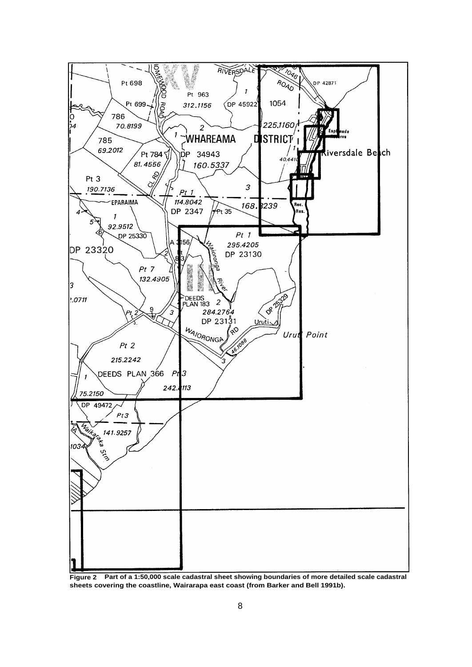

**Figure 2 Part of a 1:50,000 scale cadastral sheet showing boundaries of more detailed scale cadastral sheets covering the coastline, Wairarapa east coast (from Barker and Bell 1991b).**